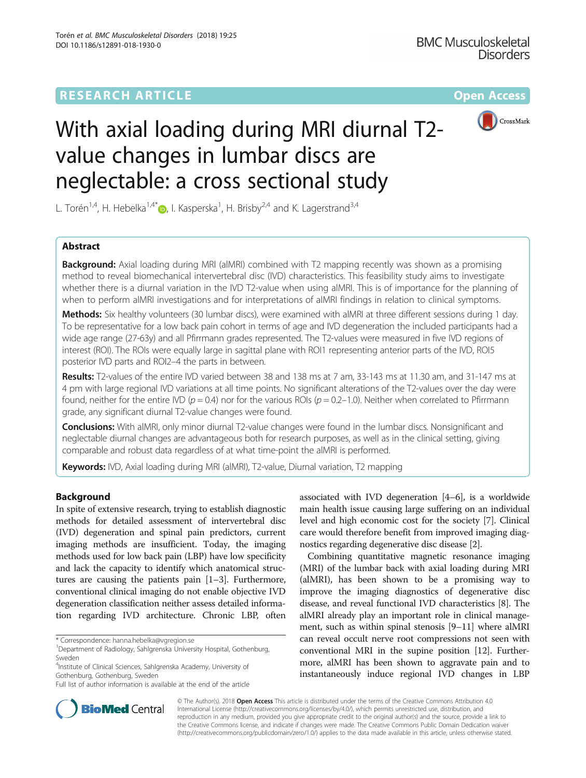## **RESEARCH ARTICLE Example 2014 12:30 The Contract of Contract ACCESS**



# With axial loading during MRI diurnal T2 value changes in lumbar discs are neglectable: a cross sectional study

L. Torén $^{1,4}$ , H. Hebelka $^{1,4^\ast}$ D, I. Kasperska $^1$ , H. Brisby $^{2,4}$  and K. Lagerstrand $^{3,4}$ 

## Abstract

**Background:** Axial loading during MRI (alMRI) combined with T2 mapping recently was shown as a promising method to reveal biomechanical intervertebral disc (IVD) characteristics. This feasibility study aims to investigate whether there is a diurnal variation in the IVD T2-value when using alMRI. This is of importance for the planning of when to perform alMRI investigations and for interpretations of alMRI findings in relation to clinical symptoms.

Methods: Six healthy volunteers (30 lumbar discs), were examined with alMRI at three different sessions during 1 day. To be representative for a low back pain cohort in terms of age and IVD degeneration the included participants had a wide age range (27-63y) and all Pfirrmann grades represented. The T2-values were measured in five IVD regions of interest (ROI). The ROIs were equally large in sagittal plane with ROI1 representing anterior parts of the IVD, ROI5 posterior IVD parts and ROI2–4 the parts in between.

Results: T2-values of the entire IVD varied between 38 and 138 ms at 7 am, 33-143 ms at 11.30 am, and 31-147 ms at 4 pm with large regional IVD variations at all time points. No significant alterations of the T2-values over the day were found, neither for the entire IVD ( $p = 0.4$ ) nor for the various ROIs ( $p = 0.2-1.0$ ). Neither when correlated to Pfirrmann grade, any significant diurnal T2-value changes were found.

Conclusions: With alMRI, only minor diurnal T2-value changes were found in the lumbar discs. Nonsignificant and neglectable diurnal changes are advantageous both for research purposes, as well as in the clinical setting, giving comparable and robust data regardless of at what time-point the alMRI is performed.

Keywords: IVD, Axial loading during MRI (alMRI), T2-value, Diurnal variation, T2 mapping

## Background

In spite of extensive research, trying to establish diagnostic methods for detailed assessment of intervertebral disc (IVD) degeneration and spinal pain predictors, current imaging methods are insufficient. Today, the imaging methods used for low back pain (LBP) have low specificity and lack the capacity to identify which anatomical structures are causing the patients pain [[1](#page-7-0)–[3](#page-7-0)]. Furthermore, conventional clinical imaging do not enable objective IVD degeneration classification neither assess detailed information regarding IVD architecture. Chronic LBP, often

associated with IVD degeneration [\[4](#page-7-0)–[6\]](#page-7-0), is a worldwide main health issue causing large suffering on an individual level and high economic cost for the society [\[7](#page-7-0)]. Clinical care would therefore benefit from improved imaging diagnostics regarding degenerative disc disease [\[2](#page-7-0)].

Combining quantitative magnetic resonance imaging (MRI) of the lumbar back with axial loading during MRI (alMRI), has been shown to be a promising way to improve the imaging diagnostics of degenerative disc disease, and reveal functional IVD characteristics [\[8](#page-7-0)]. The alMRI already play an important role in clinical management, such as within spinal stenosis [[9](#page-7-0)–[11](#page-7-0)] where alMRI can reveal occult nerve root compressions not seen with conventional MRI in the supine position [\[12](#page-7-0)]. Furthermore, alMRI has been shown to aggravate pain and to instantaneously induce regional IVD changes in LBP



© The Author(s). 2018 Open Access This article is distributed under the terms of the Creative Commons Attribution 4.0 International License [\(http://creativecommons.org/licenses/by/4.0/](http://creativecommons.org/licenses/by/4.0/)), which permits unrestricted use, distribution, and reproduction in any medium, provided you give appropriate credit to the original author(s) and the source, provide a link to the Creative Commons license, and indicate if changes were made. The Creative Commons Public Domain Dedication waiver [\(http://creativecommons.org/publicdomain/zero/1.0/](http://creativecommons.org/publicdomain/zero/1.0/)) applies to the data made available in this article, unless otherwise stated.

<sup>\*</sup> Correspondence: [hanna.hebelka@vgregion.se](mailto:hanna.hebelka@vgregion.se) <sup>1</sup>

Department of Radiology, Sahlgrenska University Hospital, Gothenburg, Sweden

<sup>&</sup>lt;sup>4</sup>Institute of Clinical Sciences, Sahlgrenska Academy, University of Gothenburg, Gothenburg, Sweden

Full list of author information is available at the end of the article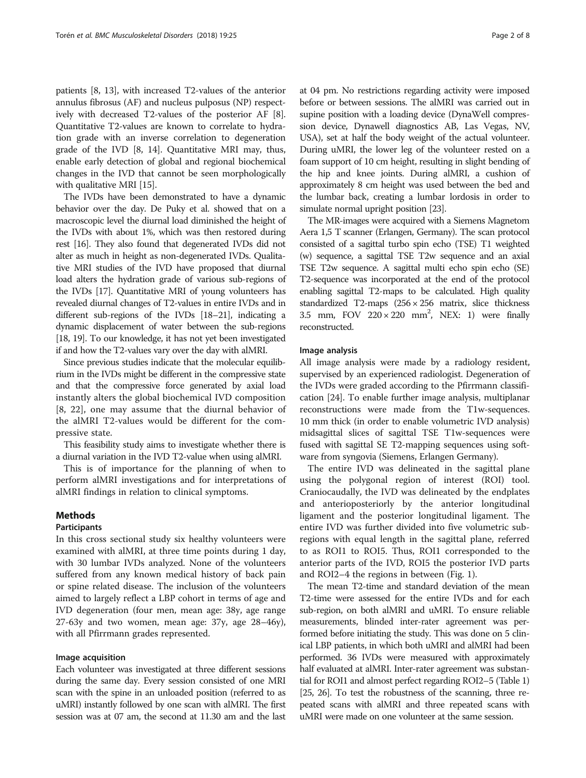patients [\[8](#page-7-0), [13\]](#page-7-0), with increased T2-values of the anterior annulus fibrosus (AF) and nucleus pulposus (NP) respectively with decreased T2-values of the posterior AF [[8](#page-7-0)]. Quantitative T2-values are known to correlate to hydration grade with an inverse correlation to degeneration grade of the IVD [[8](#page-7-0), [14\]](#page-7-0). Quantitative MRI may, thus, enable early detection of global and regional biochemical changes in the IVD that cannot be seen morphologically with qualitative MRI [[15](#page-7-0)].

The IVDs have been demonstrated to have a dynamic behavior over the day. De Puky et al. showed that on a macroscopic level the diurnal load diminished the height of the IVDs with about 1%, which was then restored during rest [\[16](#page-7-0)]. They also found that degenerated IVDs did not alter as much in height as non-degenerated IVDs. Qualitative MRI studies of the IVD have proposed that diurnal load alters the hydration grade of various sub-regions of the IVDs [\[17\]](#page-7-0). Quantitative MRI of young volunteers has revealed diurnal changes of T2-values in entire IVDs and in different sub-regions of the IVDs [[18](#page-7-0)–[21](#page-7-0)], indicating a dynamic displacement of water between the sub-regions [[18](#page-7-0), [19](#page-7-0)]. To our knowledge, it has not yet been investigated if and how the T2-values vary over the day with alMRI.

Since previous studies indicate that the molecular equilibrium in the IVDs might be different in the compressive state and that the compressive force generated by axial load instantly alters the global biochemical IVD composition [[8, 22\]](#page-7-0), one may assume that the diurnal behavior of the alMRI T2-values would be different for the compressive state.

This feasibility study aims to investigate whether there is a diurnal variation in the IVD T2-value when using alMRI.

This is of importance for the planning of when to perform alMRI investigations and for interpretations of alMRI findings in relation to clinical symptoms.

## Methods

## Participants

In this cross sectional study six healthy volunteers were examined with alMRI, at three time points during 1 day, with 30 lumbar IVDs analyzed. None of the volunteers suffered from any known medical history of back pain or spine related disease. The inclusion of the volunteers aimed to largely reflect a LBP cohort in terms of age and IVD degeneration (four men, mean age: 38y, age range 27-63y and two women, mean age: 37y, age 28–46y), with all Pfirrmann grades represented.

## Image acquisition

Each volunteer was investigated at three different sessions during the same day. Every session consisted of one MRI scan with the spine in an unloaded position (referred to as uMRI) instantly followed by one scan with alMRI. The first session was at 07 am, the second at 11.30 am and the last at 04 pm. No restrictions regarding activity were imposed before or between sessions. The alMRI was carried out in supine position with a loading device (DynaWell compression device, Dynawell diagnostics AB, Las Vegas, NV, USA), set at half the body weight of the actual volunteer. During uMRI, the lower leg of the volunteer rested on a foam support of 10 cm height, resulting in slight bending of the hip and knee joints. During alMRI, a cushion of approximately 8 cm height was used between the bed and the lumbar back, creating a lumbar lordosis in order to simulate normal upright position [\[23\]](#page-7-0).

The MR-images were acquired with a Siemens Magnetom Aera 1,5 T scanner (Erlangen, Germany). The scan protocol consisted of a sagittal turbo spin echo (TSE) T1 weighted (w) sequence, a sagittal TSE T2w sequence and an axial TSE T2w sequence. A sagittal multi echo spin echo (SE) T2-sequence was incorporated at the end of the protocol enabling sagittal T2-maps to be calculated. High quality standardized T2-maps  $(256 \times 256$  matrix, slice thickness 3.5 mm, FOV  $220 \times 220$  mm<sup>2</sup>, NEX: 1) were finally reconstructed.

## Image analysis

All image analysis were made by a radiology resident, supervised by an experienced radiologist. Degeneration of the IVDs were graded according to the Pfirrmann classification [[24](#page-7-0)]. To enable further image analysis, multiplanar reconstructions were made from the T1w-sequences. 10 mm thick (in order to enable volumetric IVD analysis) midsagittal slices of sagittal TSE T1w-sequences were fused with sagittal SE T2-mapping sequences using software from syngovia (Siemens, Erlangen Germany).

The entire IVD was delineated in the sagittal plane using the polygonal region of interest (ROI) tool. Craniocaudally, the IVD was delineated by the endplates and anterioposteriorly by the anterior longitudinal ligament and the posterior longitudinal ligament. The entire IVD was further divided into five volumetric subregions with equal length in the sagittal plane, referred to as ROI1 to ROI5. Thus, ROI1 corresponded to the anterior parts of the IVD, ROI5 the posterior IVD parts and ROI2–4 the regions in between (Fig. [1\)](#page-2-0).

The mean T2-time and standard deviation of the mean T2-time were assessed for the entire IVDs and for each sub-region, on both alMRI and uMRI. To ensure reliable measurements, blinded inter-rater agreement was performed before initiating the study. This was done on 5 clinical LBP patients, in which both uMRI and alMRI had been performed. 36 IVDs were measured with approximately half evaluated at alMRI. Inter-rater agreement was substantial for ROI1 and almost perfect regarding ROI2–5 (Table [1](#page-2-0)) [[25](#page-7-0), [26](#page-7-0)]. To test the robustness of the scanning, three repeated scans with alMRI and three repeated scans with uMRI were made on one volunteer at the same session.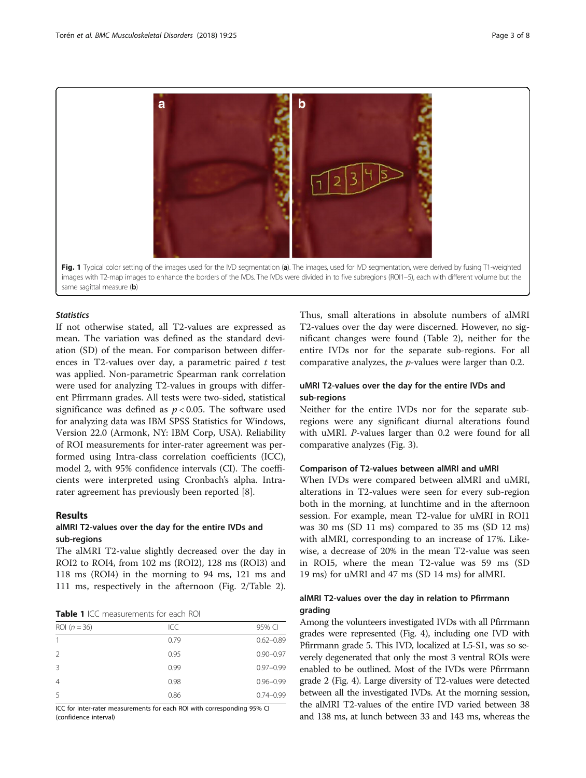<span id="page-2-0"></span>

### **Statistics**

If not otherwise stated, all T2-values are expressed as mean. The variation was defined as the standard deviation (SD) of the mean. For comparison between differences in T2-values over day, a parametric paired  $t$  test was applied. Non-parametric Spearman rank correlation were used for analyzing T2-values in groups with different Pfirrmann grades. All tests were two-sided, statistical significance was defined as  $p < 0.05$ . The software used for analyzing data was IBM SPSS Statistics for Windows, Version 22.0 (Armonk, NY: IBM Corp, USA). Reliability of ROI measurements for inter-rater agreement was performed using Intra-class correlation coefficients (ICC), model 2, with 95% confidence intervals (CI). The coefficients were interpreted using Cronbach's alpha. Intrarater agreement has previously been reported [[8\]](#page-7-0).

### Results

## alMRI T2-values over the day for the entire IVDs and sub-regions

The alMRI T2-value slightly decreased over the day in ROI2 to ROI4, from 102 ms (ROI2), 128 ms (ROI3) and 118 ms (ROI4) in the morning to 94 ms, 121 ms and 111 ms, respectively in the afternoon (Fig. [2/](#page-3-0)Table [2](#page-3-0)).

| <b>Table 1</b> ICC measurements for each ROI |  |
|----------------------------------------------|--|
|----------------------------------------------|--|

| ROI $(n = 36)$ | ICC  | 95% CI        |
|----------------|------|---------------|
|                | 0.79 | $0.62 - 0.89$ |
| $\mathcal{L}$  | 0.95 | $0.90 - 0.97$ |
| 3              | 0.99 | $0.97 - 0.99$ |
| 4              | 0.98 | $0.96 - 0.99$ |
| 5              | 0.86 | $0.74 - 0.99$ |

ICC for inter-rater measurements for each ROI with corresponding 95% CI (confidence interval)

Thus, small alterations in absolute numbers of alMRI T2-values over the day were discerned. However, no significant changes were found (Table [2](#page-3-0)), neither for the entire IVDs nor for the separate sub-regions. For all comparative analyzes, the  $p$ -values were larger than 0.2.

## uMRI T2-values over the day for the entire IVDs and sub-regions

Neither for the entire IVDs nor for the separate subregions were any significant diurnal alterations found with uMRI. P-values larger than 0.2 were found for all comparative analyzes (Fig. [3\)](#page-4-0).

#### Comparison of T2-values between alMRI and uMRI

When IVDs were compared between alMRI and uMRI, alterations in T2-values were seen for every sub-region both in the morning, at lunchtime and in the afternoon session. For example, mean T2-value for uMRI in ROI1 was 30 ms (SD 11 ms) compared to 35 ms (SD 12 ms) with alMRI, corresponding to an increase of 17%. Likewise, a decrease of 20% in the mean T2-value was seen in ROI5, where the mean T2-value was 59 ms (SD 19 ms) for uMRI and 47 ms (SD 14 ms) for alMRI.

## alMRI T2-values over the day in relation to Pfirrmann grading

Among the volunteers investigated IVDs with all Pfirrmann grades were represented (Fig. [4](#page-5-0)), including one IVD with Pfirrmann grade 5. This IVD, localized at L5-S1, was so severely degenerated that only the most 3 ventral ROIs were enabled to be outlined. Most of the IVDs were Pfirrmann grade 2 (Fig. [4](#page-5-0)). Large diversity of T2-values were detected between all the investigated IVDs. At the morning session, the alMRI T2-values of the entire IVD varied between 38 and 138 ms, at lunch between 33 and 143 ms, whereas the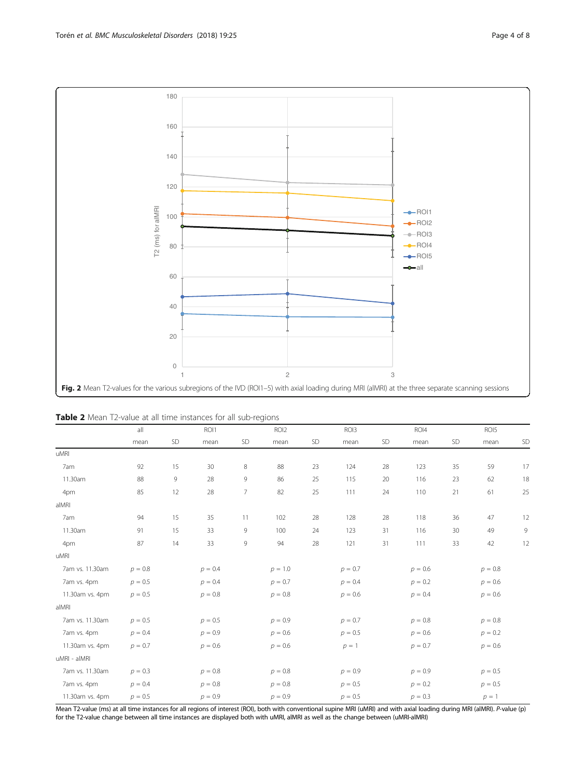<span id="page-3-0"></span>

|                 | all       |    | ROI1      |    | ROI <sub>2</sub> |    | ROI3      |    | ROI4      |    | ROI5      |    |
|-----------------|-----------|----|-----------|----|------------------|----|-----------|----|-----------|----|-----------|----|
|                 | mean      | SD | mean      | SD | mean             | SD | mean      | SD | mean      | SD | mean      | SD |
| uMRI            |           |    |           |    |                  |    |           |    |           |    |           |    |
| 7am             | 92        | 15 | 30        | 8  | 88               | 23 | 124       | 28 | 123       | 35 | 59        | 17 |
| 11.30am         | 88        | 9  | 28        | 9  | 86               | 25 | 115       | 20 | 116       | 23 | 62        | 18 |
| 4pm             | 85        | 12 | 28        | 7  | 82               | 25 | 111       | 24 | 110       | 21 | 61        | 25 |
| alMRI           |           |    |           |    |                  |    |           |    |           |    |           |    |
| 7am             | 94        | 15 | 35        | 11 | 102              | 28 | 128       | 28 | 118       | 36 | 47        | 12 |
| 11.30am         | 91        | 15 | 33        | 9  | 100              | 24 | 123       | 31 | 116       | 30 | 49        | 9  |
| 4pm             | 87        | 14 | 33        | 9  | 94               | 28 | 121       | 31 | 111       | 33 | 42        | 12 |
| uMRI            |           |    |           |    |                  |    |           |    |           |    |           |    |
| 7am vs. 11.30am | $p = 0.8$ |    | $p = 0.4$ |    | $p = 1.0$        |    | $p = 0.7$ |    | $p = 0.6$ |    | $p = 0.8$ |    |
| 7am vs. 4pm     | $p = 0.5$ |    | $p = 0.4$ |    | $p = 0.7$        |    | $p = 0.4$ |    | $p = 0.2$ |    | $p = 0.6$ |    |
| 11.30am vs. 4pm | $p = 0.5$ |    | $p = 0.8$ |    | $p = 0.8$        |    | $p = 0.6$ |    | $p = 0.4$ |    | $p = 0.6$ |    |
| alMRI           |           |    |           |    |                  |    |           |    |           |    |           |    |
| 7am vs. 11.30am | $p = 0.5$ |    | $p = 0.5$ |    | $p = 0.9$        |    | $p = 0.7$ |    | $p = 0.8$ |    | $p = 0.8$ |    |
| 7am vs. 4pm     | $p = 0.4$ |    | $p = 0.9$ |    | $p = 0.6$        |    | $p = 0.5$ |    | $p = 0.6$ |    | $p = 0.2$ |    |
| 11.30am vs. 4pm | $p = 0.7$ |    | $p = 0.6$ |    | $p = 0.6$        |    | $p = 1$   |    | $p = 0.7$ |    | $p = 0.6$ |    |
| uMRI - alMRI    |           |    |           |    |                  |    |           |    |           |    |           |    |
| 7am vs. 11.30am | $p = 0.3$ |    | $p = 0.8$ |    | $p = 0.8$        |    | $p = 0.9$ |    | $p = 0.9$ |    | $p = 0.5$ |    |
| 7am vs. 4pm     | $p = 0.4$ |    | $p = 0.8$ |    | $p = 0.8$        |    | $p = 0.5$ |    | $p = 0.2$ |    | $p = 0.5$ |    |
| 11.30am vs. 4pm | $p = 0.5$ |    | $p = 0.9$ |    | $p = 0.9$        |    | $p = 0.5$ |    | $p = 0.3$ |    | $p = 1$   |    |

| Table 2 Mean T2-value at all time instances for all sub-regions |
|-----------------------------------------------------------------|
|-----------------------------------------------------------------|

Mean T2-value (ms) at all time instances for all regions of interest (ROI), both with conventional supine MRI (uMRI) and with axial loading during MRI (alMRI). P-value (p) for the T2-value change between all time instances are displayed both with uMRI, alMRI as well as the change between (uMRI-alMRI)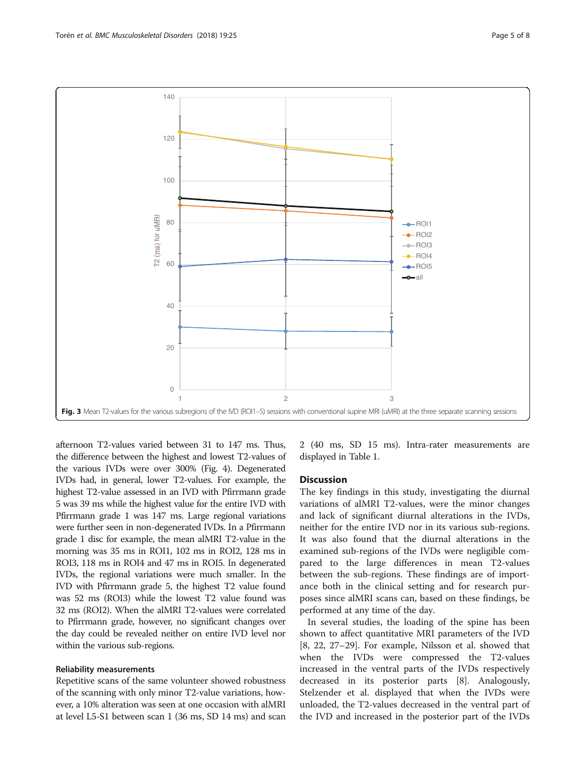<span id="page-4-0"></span>

afternoon T2-values varied between 31 to 147 ms. Thus, the difference between the highest and lowest T2-values of the various IVDs were over 300% (Fig. [4](#page-5-0)). Degenerated IVDs had, in general, lower T2-values. For example, the highest T2-value assessed in an IVD with Pfirrmann grade 5 was 39 ms while the highest value for the entire IVD with Pfirrmann grade 1 was 147 ms. Large regional variations were further seen in non-degenerated IVDs. In a Pfirrmann grade 1 disc for example, the mean alMRI T2-value in the morning was 35 ms in ROI1, 102 ms in ROI2, 128 ms in ROI3, 118 ms in ROI4 and 47 ms in ROI5. In degenerated IVDs, the regional variations were much smaller. In the IVD with Pfirrmann grade 5, the highest T2 value found was 52 ms (ROI3) while the lowest T2 value found was 32 ms (ROI2). When the alMRI T2-values were correlated to Pfirrmann grade, however, no significant changes over the day could be revealed neither on entire IVD level nor within the various sub-regions.

## Reliability measurements

Repetitive scans of the same volunteer showed robustness of the scanning with only minor T2-value variations, however, a 10% alteration was seen at one occasion with alMRI at level L5-S1 between scan 1 (36 ms, SD 14 ms) and scan 2 (40 ms, SD 15 ms). Intra-rater measurements are displayed in Table [1.](#page-2-0)

#### **Discussion**

The key findings in this study, investigating the diurnal variations of alMRI T2-values, were the minor changes and lack of significant diurnal alterations in the IVDs, neither for the entire IVD nor in its various sub-regions. It was also found that the diurnal alterations in the examined sub-regions of the IVDs were negligible compared to the large differences in mean T2-values between the sub-regions. These findings are of importance both in the clinical setting and for research purposes since alMRI scans can, based on these findings, be performed at any time of the day.

In several studies, the loading of the spine has been shown to affect quantitative MRI parameters of the IVD [[8, 22, 27](#page-7-0)–[29\]](#page-7-0). For example, Nilsson et al. showed that when the IVDs were compressed the T2-values increased in the ventral parts of the IVDs respectively decreased in its posterior parts [\[8\]](#page-7-0). Analogously, Stelzender et al. displayed that when the IVDs were unloaded, the T2-values decreased in the ventral part of the IVD and increased in the posterior part of the IVDs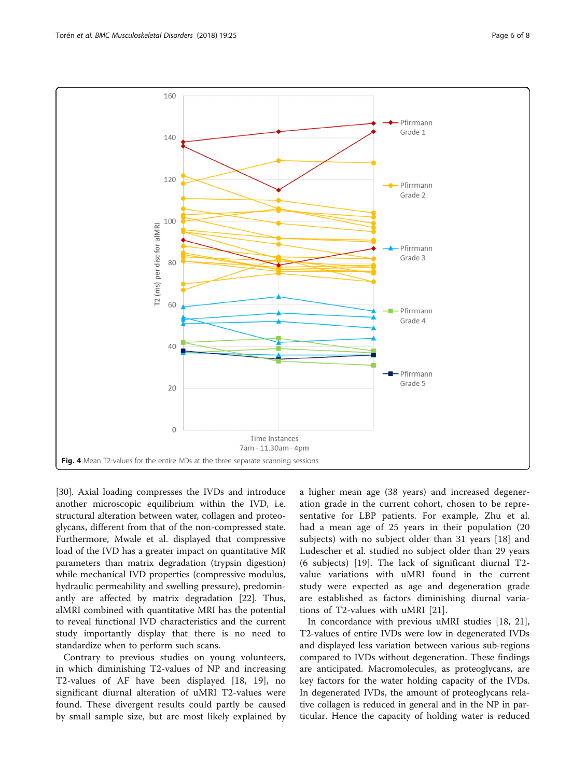[[30\]](#page-7-0). Axial loading compresses the IVDs and introduce another microscopic equilibrium within the IVD, i.e. structural alteration between water, collagen and proteoglycans, different from that of the non-compressed state. Furthermore, Mwale et al. displayed that compressive load of the IVD has a greater impact on quantitative MR parameters than matrix degradation (trypsin digestion) while mechanical IVD properties (compressive modulus, hydraulic permeability and swelling pressure), predominantly are affected by matrix degradation [[22\]](#page-7-0). Thus, alMRI combined with quantitative MRI has the potential to reveal functional IVD characteristics and the current study importantly display that there is no need to standardize when to perform such scans.

Contrary to previous studies on young volunteers, in which diminishing T2-values of NP and increasing T2-values of AF have been displayed [[18, 19\]](#page-7-0), no significant diurnal alteration of uMRI T2-values were found. These divergent results could partly be caused by small sample size, but are most likely explained by a higher mean age (38 years) and increased degeneration grade in the current cohort, chosen to be representative for LBP patients. For example, Zhu et al. had a mean age of 25 years in their population (20 subjects) with no subject older than 31 years [[18](#page-7-0)] and Ludescher et al. studied no subject older than 29 years (6 subjects) [\[19](#page-7-0)]. The lack of significant diurnal T2 value variations with uMRI found in the current study were expected as age and degeneration grade are established as factors diminishing diurnal variations of T2-values with uMRI [\[21](#page-7-0)].

In concordance with previous uMRI studies [\[18, 21](#page-7-0)], T2-values of entire IVDs were low in degenerated IVDs and displayed less variation between various sub-regions compared to IVDs without degeneration. These findings are anticipated. Macromolecules, as proteoglycans, are key factors for the water holding capacity of the IVDs. In degenerated IVDs, the amount of proteoglycans relative collagen is reduced in general and in the NP in particular. Hence the capacity of holding water is reduced

<span id="page-5-0"></span>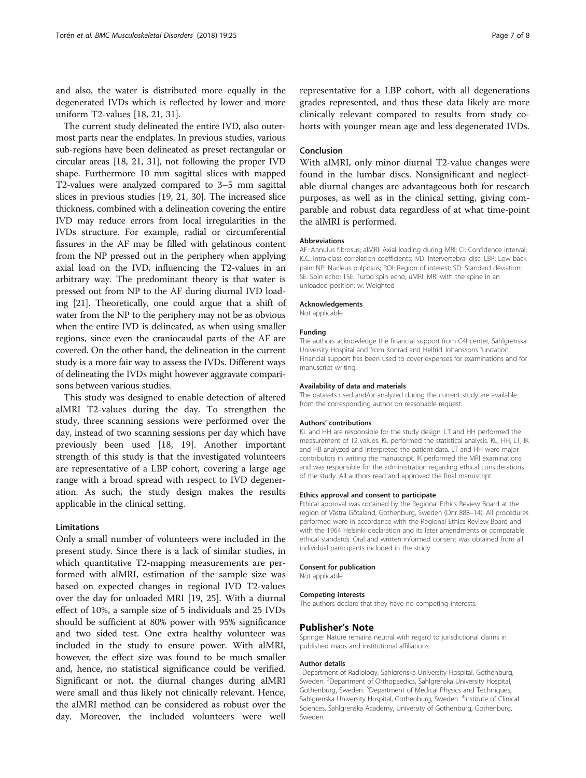and also, the water is distributed more equally in the degenerated IVDs which is reflected by lower and more uniform T2-values [[18, 21, 31](#page-7-0)].

The current study delineated the entire IVD, also outermost parts near the endplates. In previous studies, various sub-regions have been delineated as preset rectangular or circular areas [\[18, 21](#page-7-0), [31](#page-7-0)], not following the proper IVD shape. Furthermore 10 mm sagittal slices with mapped T2-values were analyzed compared to 3–5 mm sagittal slices in previous studies [\[19, 21, 30](#page-7-0)]. The increased slice thickness, combined with a delineation covering the entire IVD may reduce errors from local irregularities in the IVDs structure. For example, radial or circumferential fissures in the AF may be filled with gelatinous content from the NP pressed out in the periphery when applying axial load on the IVD, influencing the T2-values in an arbitrary way. The predominant theory is that water is pressed out from NP to the AF during diurnal IVD loading [\[21\]](#page-7-0). Theoretically, one could argue that a shift of water from the NP to the periphery may not be as obvious when the entire IVD is delineated, as when using smaller regions, since even the craniocaudal parts of the AF are covered. On the other hand, the delineation in the current study is a more fair way to assess the IVDs. Different ways of delineating the IVDs might however aggravate comparisons between various studies.

This study was designed to enable detection of altered alMRI T2-values during the day. To strengthen the study, three scanning sessions were performed over the day, instead of two scanning sessions per day which have previously been used [[18, 19\]](#page-7-0). Another important strength of this study is that the investigated volunteers are representative of a LBP cohort, covering a large age range with a broad spread with respect to IVD degeneration. As such, the study design makes the results applicable in the clinical setting.

## Limitations

Only a small number of volunteers were included in the present study. Since there is a lack of similar studies, in which quantitative T2-mapping measurements are performed with alMRI, estimation of the sample size was based on expected changes in regional IVD T2-values over the day for unloaded MRI [\[19](#page-7-0), [25\]](#page-7-0). With a diurnal effect of 10%, a sample size of 5 individuals and 25 IVDs should be sufficient at 80% power with 95% significance and two sided test. One extra healthy volunteer was included in the study to ensure power. With alMRI, however, the effect size was found to be much smaller and, hence, no statistical significance could be verified. Significant or not, the diurnal changes during alMRI were small and thus likely not clinically relevant. Hence, the alMRI method can be considered as robust over the day. Moreover, the included volunteers were well

representative for a LBP cohort, with all degenerations grades represented, and thus these data likely are more clinically relevant compared to results from study cohorts with younger mean age and less degenerated IVDs.

## Conclusion

With alMRI, only minor diurnal T2-value changes were found in the lumbar discs. Nonsignificant and neglectable diurnal changes are advantageous both for research purposes, as well as in the clinical setting, giving comparable and robust data regardless of at what time-point the alMRI is performed.

#### Abbreviations

AF: Annulus fibrosus; alMRI: Axial loading during MRI; CI: Confidence interval; ICC: Intra-class correlation coefficients; IVD: Intervertebral disc; LBP: Low back pain; NP: Nucleus pulposus; ROI: Region of interest; SD: Standard deviation; SE: Spin echo; TSE: Turbo spin echo; uMRI: MRI with the spine in an unloaded position; w: Weighted

#### Acknowledgements

Not applicable

#### Funding

The authors acknowledge the financial support from C4I center, Sahlgrenska University Hospital and from Konrad and Helfrid Johanssons fundation. Financial support has been used to cover expenses for examinations and for manuscript writing.

#### Availability of data and materials

The datasets used and/or analyzed during the current study are available from the corresponding author on reasonable request.

#### Authors' contributions

KL and HH are responsible for the study design. LT and HH performed the measurement of T2 values. KL performed the statistical analysis. KL, HH, LT, IK and HB analyzed and interpreted the patient data. LT and HH were major contributors in writing the manuscript. IK performed the MRI examinations and was responsible for the administration regarding ethical considerations of the study. All authors read and approved the final manuscript.

#### Ethics approval and consent to participate

Ethical approval was obtained by the Regional Ethics Review Board at the region of Västra Götaland, Gothenburg, Sweden (Dnr 888–14). All procedures performed were in accordance with the Regional Ethics Review Board and with the 1964 Helsinki declaration and its later amendments or comparable ethical standards. Oral and written informed consent was obtained from all individual participants included in the study.

#### Consent for publication

Not applicable

#### Competing interests

The authors declare that they have no competing interests.

#### Publisher's Note

Springer Nature remains neutral with regard to jurisdictional claims in published maps and institutional affiliations.

#### Author details

<sup>1</sup>Department of Radiology, Sahlgrenska University Hospital, Gothenburg Sweden. <sup>2</sup> Department of Orthopaedics, Sahlgrenska University Hospital Gothenburg, Sweden. <sup>3</sup>Department of Medical Physics and Techniques Sahlgrenska University Hospital, Gothenburg, Sweden. <sup>4</sup>Institute of Clinical Sciences, Sahlgrenska Academy, University of Gothenburg, Gothenburg, Sweden.